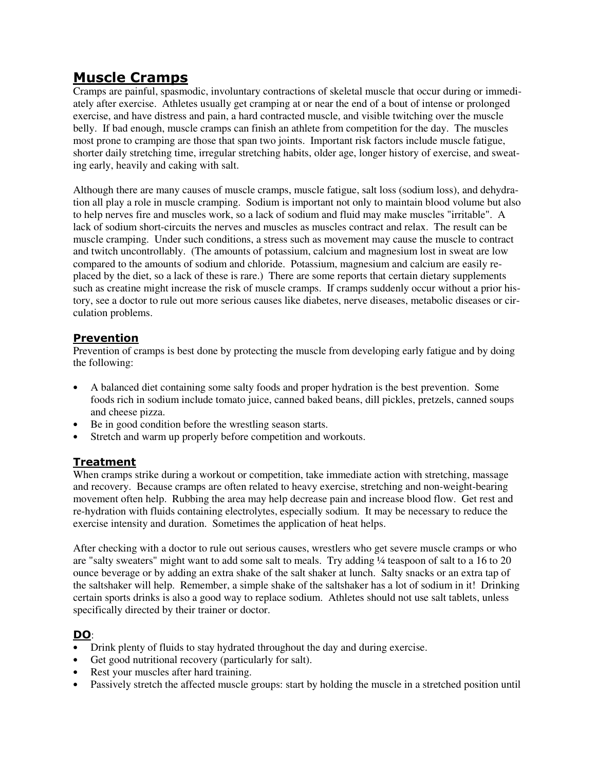# **Muscle Cramps**

Cramps are painful, spasmodic, involuntary contractions of skeletal muscle that occur during or immediately after exercise. Athletes usually get cramping at or near the end of a bout of intense or prolonged exercise, and have distress and pain, a hard contracted muscle, and visible twitching over the muscle belly. If bad enough, muscle cramps can finish an athlete from competition for the day. The muscles most prone to cramping are those that span two joints. Important risk factors include muscle fatigue, shorter daily stretching time, irregular stretching habits, older age, longer history of exercise, and sweating early, heavily and caking with salt.

Although there are many causes of muscle cramps, muscle fatigue, salt loss (sodium loss), and dehydration all play a role in muscle cramping. Sodium is important not only to maintain blood volume but also to help nerves fire and muscles work, so a lack of sodium and fluid may make muscles "irritable". A lack of sodium short-circuits the nerves and muscles as muscles contract and relax. The result can be muscle cramping. Under such conditions, a stress such as movement may cause the muscle to contract and twitch uncontrollably. (The amounts of potassium, calcium and magnesium lost in sweat are low compared to the amounts of sodium and chloride. Potassium, magnesium and calcium are easily replaced by the diet, so a lack of these is rare.) There are some reports that certain dietary supplements such as creatine might increase the risk of muscle cramps. If cramps suddenly occur without a prior history, see a doctor to rule out more serious causes like diabetes, nerve diseases, metabolic diseases or circulation problems.

## **Prevention**

Prevention of cramps is best done by protecting the muscle from developing early fatigue and by doing the following:

- A balanced diet containing some salty foods and proper hydration is the best prevention. Some foods rich in sodium include tomato juice, canned baked beans, dill pickles, pretzels, canned soups and cheese pizza.
- Be in good condition before the wrestling season starts.
- Stretch and warm up properly before competition and workouts.

## **Treatment**

When cramps strike during a workout or competition, take immediate action with stretching, massage and recovery. Because cramps are often related to heavy exercise, stretching and non-weight-bearing movement often help. Rubbing the area may help decrease pain and increase blood flow. Get rest and re-hydration with fluids containing electrolytes, especially sodium. It may be necessary to reduce the exercise intensity and duration. Sometimes the application of heat helps.

After checking with a doctor to rule out serious causes, wrestlers who get severe muscle cramps or who are "salty sweaters" might want to add some salt to meals. Try adding 1/4 teaspoon of salt to a 16 to 20 ounce beverage or by adding an extra shake of the salt shaker at lunch. Salty snacks or an extra tap of the saltshaker will help. Remember, a simple shake of the saltshaker has a lot of sodium in it! Drinking certain sports drinks is also a good way to replace sodium. Athletes should not use salt tablets, unless specifically directed by their trainer or doctor.

# **DO**:

- Drink plenty of fluids to stay hydrated throughout the day and during exercise.
- Get good nutritional recovery (particularly for salt).
- Rest your muscles after hard training.
- Passively stretch the affected muscle groups: start by holding the muscle in a stretched position until